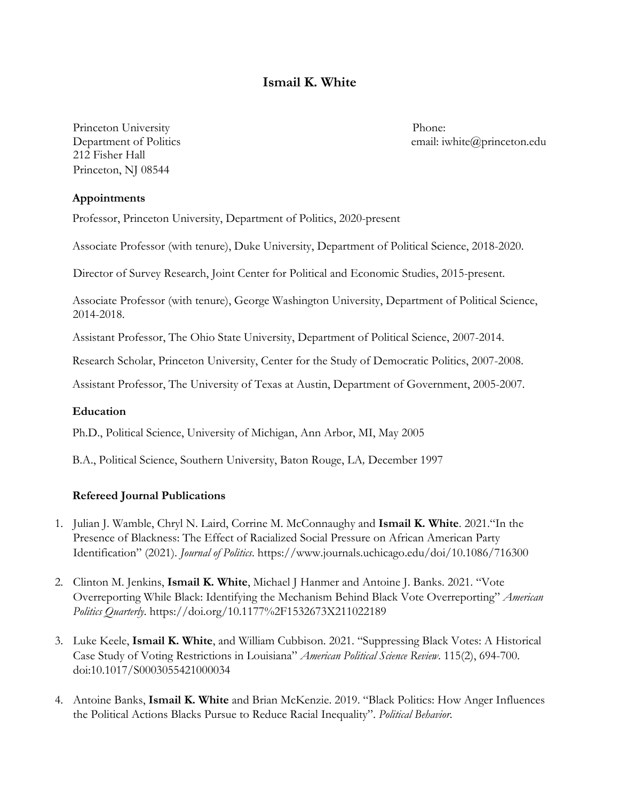# **Ismail K. White**

Princeton University Phone: 212 Fisher Hall Princeton, NJ 08544

Department of Politics email: iwhite@princeton.edu

#### **Appointments**

Professor, Princeton University, Department of Politics, 2020-present

Associate Professor (with tenure), Duke University, Department of Political Science, 2018-2020.

Director of Survey Research, Joint Center for Political and Economic Studies, 2015-present.

Associate Professor (with tenure), George Washington University, Department of Political Science, 2014-2018.

Assistant Professor, The Ohio State University, Department of Political Science, 2007-2014.

Research Scholar, Princeton University, Center for the Study of Democratic Politics, 2007-2008.

Assistant Professor, The University of Texas at Austin, Department of Government, 2005-2007.

#### **Education**

Ph.D., Political Science, University of Michigan, Ann Arbor, MI, May 2005

B.A., Political Science, Southern University, Baton Rouge, LA*,* December 1997

#### **Refereed Journal Publications**

- 1. Julian J. Wamble, Chryl N. Laird, Corrine M. McConnaughy and **Ismail K. White**. 2021."In the Presence of Blackness: The Effect of Racialized Social Pressure on African American Party Identification" (2021). *Journal of Politics*. https://www.journals.uchicago.edu/doi/10.1086/716300
- 2. Clinton M. Jenkins, **Ismail K. White**, Michael J Hanmer and Antoine J. Banks. 2021. "Vote Overreporting While Black: Identifying the Mechanism Behind Black Vote Overreporting" *American Politics Quarterly*. https://doi.org/10.1177%2F1532673X211022189
- 3. Luke Keele, **Ismail K. White**, and William Cubbison. 2021. "Suppressing Black Votes: A Historical Case Study of Voting Restrictions in Louisiana" *American Political Science Review*. 115(2), 694-700. doi:10.1017/S0003055421000034
- 4. Antoine Banks, **Ismail K. White** and Brian McKenzie. 2019. "Black Politics: How Anger Influences the Political Actions Blacks Pursue to Reduce Racial Inequality". *Political Behavior.*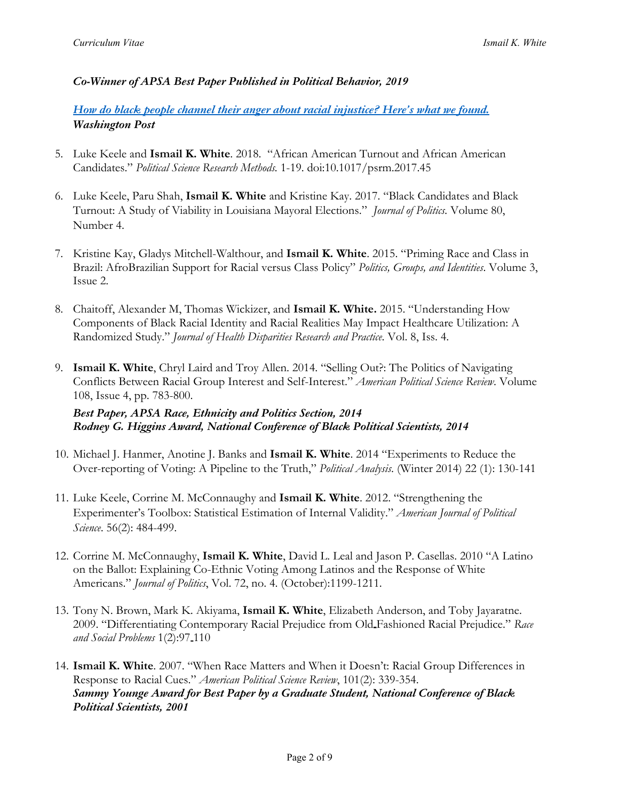# *Co-Winner of APSA Best Paper Published in Political Behavior, 2019*

*How do black people channel their anger about racial injustice? Here's what we found. Washington Post*

- 5. Luke Keele and **Ismail K. White**. 2018. "African American Turnout and African American Candidates." *Political Science Research Methods.* 1-19. doi:10.1017/psrm.2017.45
- 6. Luke Keele, Paru Shah, **Ismail K. White** and Kristine Kay. 2017. "Black Candidates and Black Turnout: A Study of Viability in Louisiana Mayoral Elections." *Journal of Politics.* Volume 80, Number 4.
- 7. Kristine Kay, Gladys Mitchell-Walthour, and **Ismail K. White**. 2015. "Priming Race and Class in Brazil: AfroBrazilian Support for Racial versus Class Policy" *Politics, Groups, and Identities*. Volume 3, Issue 2.
- 8. Chaitoff, Alexander M, Thomas Wickizer, and **Ismail K. White.** 2015. "Understanding How Components of Black Racial Identity and Racial Realities May Impact Healthcare Utilization: A Randomized Study." *Journal of Health Disparities Research and Practice*. Vol. 8, Iss. 4.
- 9. **Ismail K. White**, Chryl Laird and Troy Allen. 2014. "Selling Out?: The Politics of Navigating Conflicts Between Racial Group Interest and Self-Interest." *American Political Science Review*. Volume 108, Issue 4, pp. 783-800.

*Best Paper, APSA Race, Ethnicity and Politics Section, 2014 Rodney G. Higgins Award, National Conference of Black Political Scientists, 2014*

- 10. Michael J. Hanmer, Anotine J. Banks and **Ismail K. White**. 2014 "Experiments to Reduce the Over-reporting of Voting: A Pipeline to the Truth," *Political Analysis*. (Winter 2014) 22 (1): 130-141
- 11. Luke Keele, Corrine M. McConnaughy and **Ismail K. White**. 2012. "Strengthening the Experimenter's Toolbox: Statistical Estimation of Internal Validity." *American Journal of Political Science*. 56(2): 484-499.
- 12. Corrine M. McConnaughy, **Ismail K. White**, David L. Leal and Jason P. Casellas. 2010 "A Latino on the Ballot: Explaining Co-Ethnic Voting Among Latinos and the Response of White Americans." *Journal of Politics*, Vol. 72, no. 4. (October):1199-1211.
- 13. Tony N. Brown, Mark K. Akiyama, **Ismail K. White**, Elizabeth Anderson, and Toby Jayaratne. 2009. "Differentiating Contemporary Racial Prejudice from Old Fashioned Racial Prejudice." *Race and Social Problems* 1(2):97<sub>-110</sub>
- 14. **Ismail K. White**. 2007. "When Race Matters and When it Doesn't: Racial Group Differences in Response to Racial Cues." *American Political Science Review*, 101(2): 339-354. *Sammy Younge Award for Best Paper by a Graduate Student, National Conference of Black Political Scientists, 2001*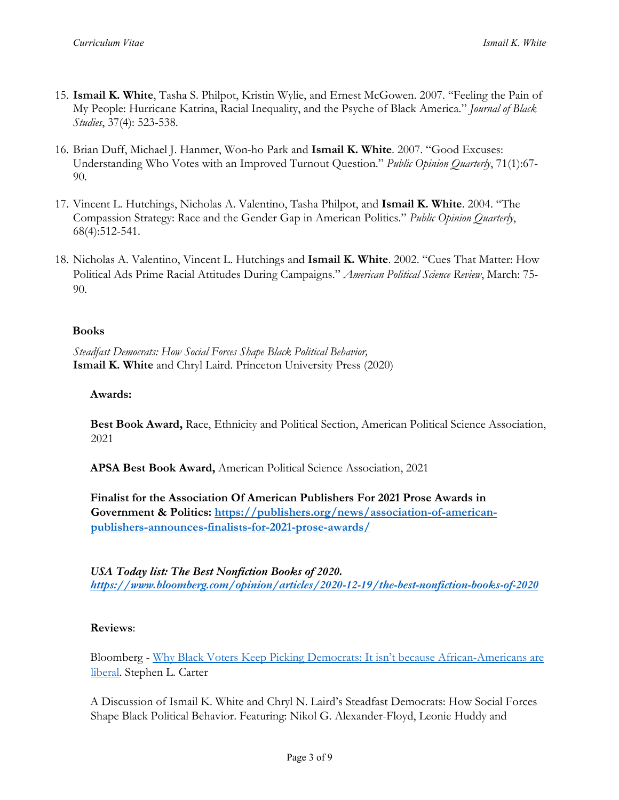- 15. **Ismail K. White**, Tasha S. Philpot, Kristin Wylie, and Ernest McGowen. 2007. "Feeling the Pain of My People: Hurricane Katrina, Racial Inequality, and the Psyche of Black America." *Journal of Black Studies*, 37(4): 523-538.
- 16. Brian Duff, Michael J. Hanmer, Won-ho Park and **Ismail K. White**. 2007. "Good Excuses: Understanding Who Votes with an Improved Turnout Question." *Public Opinion Quarterly*, 71(1):67- 90.
- 17. Vincent L. Hutchings, Nicholas A. Valentino, Tasha Philpot, and **Ismail K. White**. 2004. "The Compassion Strategy: Race and the Gender Gap in American Politics." *Public Opinion Quarterly*, 68(4):512-541.
- 18. Nicholas A. Valentino, Vincent L. Hutchings and **Ismail K. White**. 2002. "Cues That Matter: How Political Ads Prime Racial Attitudes During Campaigns." *American Political Science Review*, March: 75- 90.

### **Books**

*Steadfast Democrats: How Social Forces Shape Black Political Behavior,* **Ismail K. White** and Chryl Laird. Princeton University Press (2020)

### **Awards:**

**Best Book Award,** Race, Ethnicity and Political Section, American Political Science Association, 2021

**APSA Best Book Award,** American Political Science Association, 2021

**Finalist for the Association Of American Publishers For 2021 Prose Awards in Government & Politics: https://publishers.org/news/association-of-americanpublishers-announces-finalists-for-2021-prose-awards/**

*USA Today list: The Best Nonfiction Books of 2020. https://www.bloomberg.com/opinion/articles/2020-12-19/the-best-nonfiction-books-of-2020*

# **Reviews**:

Bloomberg - Why Black Voters Keep Picking Democrats: It isn't because African-Americans are liberal. Stephen L. Carter

A Discussion of Ismail K. White and Chryl N. Laird's Steadfast Democrats: How Social Forces Shape Black Political Behavior. Featuring: Nikol G. Alexander-Floyd, Leonie Huddy and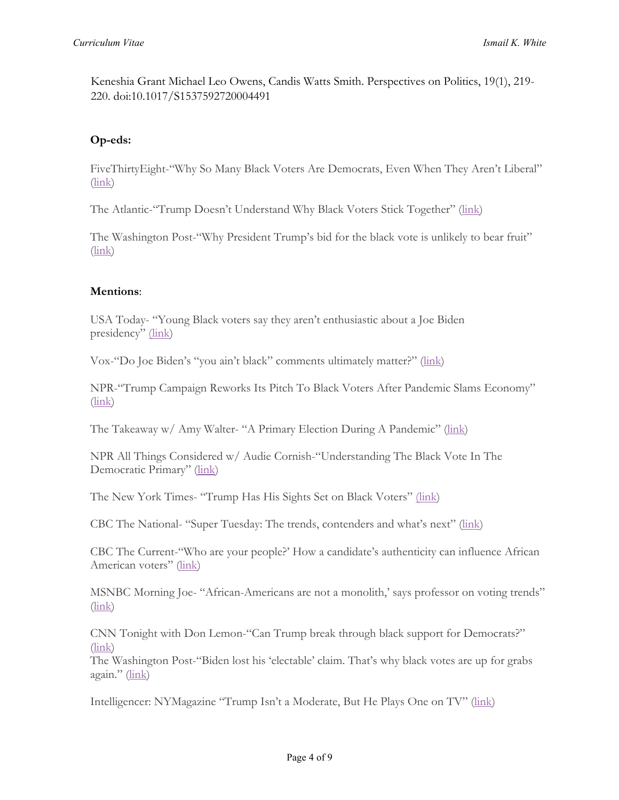Keneshia Grant Michael Leo Owens, Candis Watts Smith. Perspectives on Politics, 19(1), 219- 220. doi:10.1017/S1537592720004491

# **Op-eds:**

FiveThirtyEight-"Why So Many Black Voters Are Democrats, Even When They Aren't Liberal"  $(\text{link})$ 

The Atlantic-"Trump Doesn't Understand Why Black Voters Stick Together" (link)

The Washington Post-"Why President Trump's bid for the black vote is unlikely to bear fruit"  $(\text{link})$ 

### **Mentions**:

USA Today- "Young Black voters say they aren't enthusiastic about a Joe Biden presidency" (link)

Vox-"Do Joe Biden's "you ain't black" comments ultimately matter?" (link)

NPR-"Trump Campaign Reworks Its Pitch To Black Voters After Pandemic Slams Economy" (link)

The Takeaway w/ Amy Walter- "A Primary Election During A Pandemic" (link)

NPR All Things Considered w/ Audie Cornish-"Understanding The Black Vote In The Democratic Primary" (link)

The New York Times- "Trump Has His Sights Set on Black Voters" (link)

CBC The National- "Super Tuesday: The trends, contenders and what's next" (link)

CBC The Current-"Who are your people?' How a candidate's authenticity can influence African American voters" (link)

MSNBC Morning Joe- "African-Americans are not a monolith,' says professor on voting trends" (link)

CNN Tonight with Don Lemon-"Can Trump break through black support for Democrats?" (link)

The Washington Post-"Biden lost his 'electable' claim. That's why black votes are up for grabs again." (link)

Intelligencer: NYMagazine "Trump Isn't a Moderate, But He Plays One on TV" (link)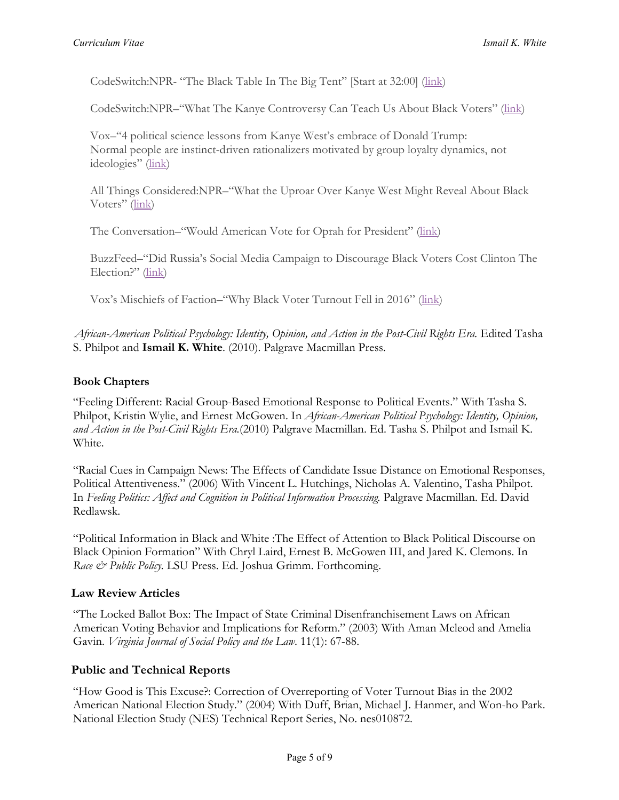CodeSwitch:NPR- "The Black Table In The Big Tent" [Start at 32:00] (link)

CodeSwitch:NPR–"What The Kanye Controversy Can Teach Us About Black Voters" (link)

Vox–"4 political science lessons from Kanye West's embrace of Donald Trump: Normal people are instinct-driven rationalizers motivated by group loyalty dynamics, not ideologies" (link)

All Things Considered:NPR–"What the Uproar Over Kanye West Might Reveal About Black Voters" (link)

The Conversation–"Would American Vote for Oprah for President" (link)

BuzzFeed–"Did Russia's Social Media Campaign to Discourage Black Voters Cost Clinton The Election?" (link)

Vox's Mischiefs of Faction–"Why Black Voter Turnout Fell in 2016" (link)

*African-American Political Psychology: Identity, Opinion, and Action in the Post-Civil Rights Era.* Edited Tasha S. Philpot and **Ismail K. White**. (2010). Palgrave Macmillan Press.

### **Book Chapters**

"Feeling Different: Racial Group-Based Emotional Response to Political Events." With Tasha S. Philpot, Kristin Wylie, and Ernest McGowen. In *African-American Political Psychology: Identity, Opinion, and Action in the Post-Civil Rights Era.*(2010) Palgrave Macmillan. Ed. Tasha S. Philpot and Ismail K. White.

"Racial Cues in Campaign News: The Effects of Candidate Issue Distance on Emotional Responses, Political Attentiveness." (2006) With Vincent L. Hutchings, Nicholas A. Valentino, Tasha Philpot. In *Feeling Politics: Affect and Cognition in Political Information Processing.* Palgrave Macmillan. Ed. David Redlawsk.

"Political Information in Black and White :The Effect of Attention to Black Political Discourse on Black Opinion Formation" With Chryl Laird, Ernest B. McGowen III, and Jared K. Clemons. In *Race & Public Policy.* LSU Press. Ed. Joshua Grimm. Forthcoming.

# **Law Review Articles**

"The Locked Ballot Box: The Impact of State Criminal Disenfranchisement Laws on African American Voting Behavior and Implications for Reform." (2003) With Aman Mcleod and Amelia Gavin. *Virginia Journal of Social Policy and the Law*. 11(1): 67-88.

# **Public and Technical Reports**

"How Good is This Excuse?: Correction of Overreporting of Voter Turnout Bias in the 2002 American National Election Study." (2004) With Duff, Brian, Michael J. Hanmer, and Won-ho Park. National Election Study (NES) Technical Report Series, No. nes010872.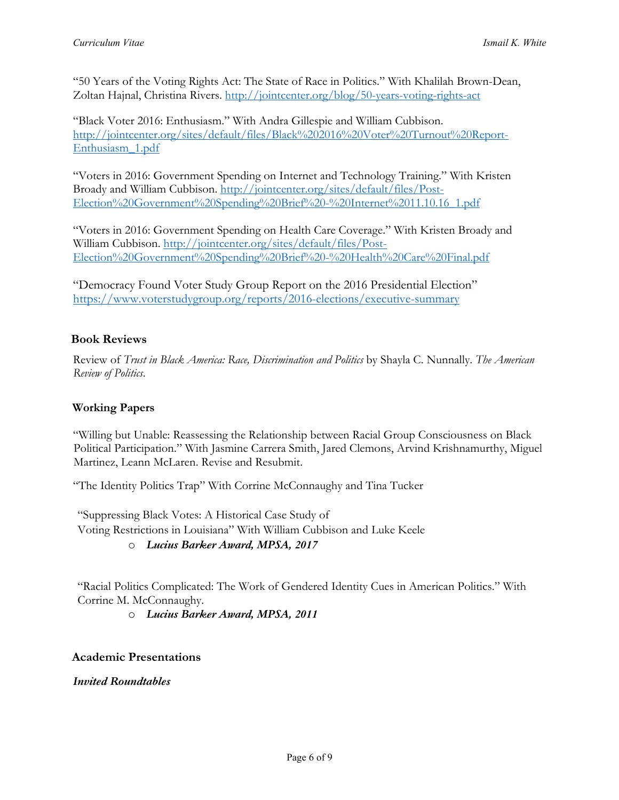"50 Years of the Voting Rights Act: The State of Race in Politics." With Khalilah Brown-Dean, Zoltan Hajnal, Christina Rivers. http://jointcenter.org/blog/50-years-voting-rights-act

"Black Voter 2016: Enthusiasm." With Andra Gillespie and William Cubbison. http://jointcenter.org/sites/default/files/Black%202016%20Voter%20Turnout%20Report-Enthusiasm\_1.pdf

"Voters in 2016: Government Spending on Internet and Technology Training." With Kristen Broady and William Cubbison. http://jointcenter.org/sites/default/files/Post-Election%20Government%20Spending%20Brief%20-%20Internet%2011.10.16\_1.pdf

"Voters in 2016: Government Spending on Health Care Coverage." With Kristen Broady and William Cubbison. http://jointcenter.org/sites/default/files/Post-Election%20Government%20Spending%20Brief%20-%20Health%20Care%20Final.pdf

"Democracy Found Voter Study Group Report on the 2016 Presidential Election" https://www.voterstudygroup.org/reports/2016-elections/executive-summary

# **Book Reviews**

Review of *Trust in Black America: Race, Discrimination and Politics* by Shayla C. Nunnally. *The American Review of Politics*.

# **Working Papers**

"Willing but Unable: Reassessing the Relationship between Racial Group Consciousness on Black Political Participation." With Jasmine Carrera Smith, Jared Clemons, Arvind Krishnamurthy, Miguel Martinez, Leann McLaren. Revise and Resubmit.

"The Identity Politics Trap" With Corrine McConnaughy and Tina Tucker

"Suppressing Black Votes: A Historical Case Study of Voting Restrictions in Louisiana" With William Cubbison and Luke Keele

### o *Lucius Barker Award, MPSA, 2017*

"Racial Politics Complicated: The Work of Gendered Identity Cues in American Politics." With Corrine M. McConnaughy.

o *Lucius Barker Award, MPSA, 2011*

### **Academic Presentations**

*Invited Roundtables*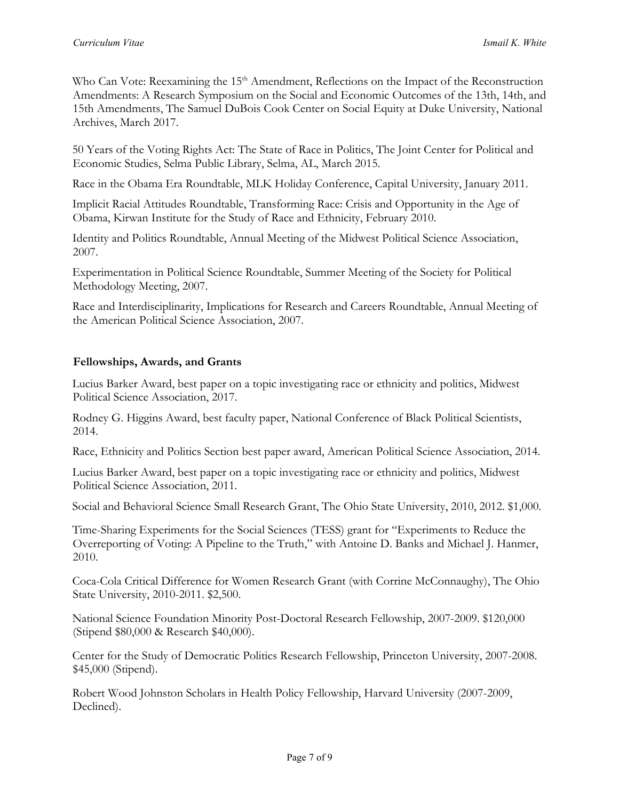Who Can Vote: Reexamining the 15<sup>th</sup> Amendment, Reflections on the Impact of the Reconstruction Amendments: A Research Symposium on the Social and Economic Outcomes of the 13th, 14th, and 15th Amendments, The Samuel DuBois Cook Center on Social Equity at Duke University, National Archives, March 2017.

50 Years of the Voting Rights Act: The State of Race in Politics, The Joint Center for Political and Economic Studies, Selma Public Library, Selma, AL, March 2015.

Race in the Obama Era Roundtable, MLK Holiday Conference, Capital University, January 2011.

Implicit Racial Attitudes Roundtable, Transforming Race: Crisis and Opportunity in the Age of Obama, Kirwan Institute for the Study of Race and Ethnicity, February 2010.

Identity and Politics Roundtable, Annual Meeting of the Midwest Political Science Association, 2007.

Experimentation in Political Science Roundtable, Summer Meeting of the Society for Political Methodology Meeting, 2007.

Race and Interdisciplinarity, Implications for Research and Careers Roundtable, Annual Meeting of the American Political Science Association, 2007.

### **Fellowships, Awards, and Grants**

Lucius Barker Award, best paper on a topic investigating race or ethnicity and politics, Midwest Political Science Association, 2017.

Rodney G. Higgins Award, best faculty paper, National Conference of Black Political Scientists, 2014.

Race, Ethnicity and Politics Section best paper award, American Political Science Association, 2014.

Lucius Barker Award, best paper on a topic investigating race or ethnicity and politics, Midwest Political Science Association, 2011.

Social and Behavioral Science Small Research Grant, The Ohio State University, 2010, 2012. \$1,000.

Time-Sharing Experiments for the Social Sciences (TESS) grant for "Experiments to Reduce the Overreporting of Voting: A Pipeline to the Truth," with Antoine D. Banks and Michael J. Hanmer, 2010.

Coca-Cola Critical Difference for Women Research Grant (with Corrine McConnaughy), The Ohio State University, 2010-2011. \$2,500.

National Science Foundation Minority Post-Doctoral Research Fellowship, 2007-2009. \$120,000 (Stipend \$80,000 & Research \$40,000).

Center for the Study of Democratic Politics Research Fellowship, Princeton University, 2007-2008. \$45,000 (Stipend).

Robert Wood Johnston Scholars in Health Policy Fellowship, Harvard University (2007-2009, Declined).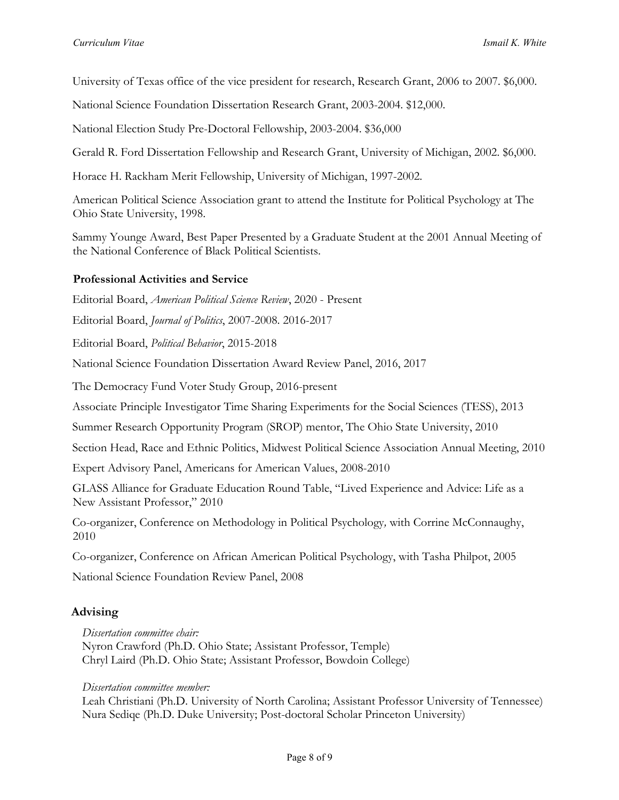University of Texas office of the vice president for research, Research Grant, 2006 to 2007. \$6,000.

National Science Foundation Dissertation Research Grant, 2003-2004. \$12,000.

National Election Study Pre-Doctoral Fellowship, 2003-2004. \$36,000

Gerald R. Ford Dissertation Fellowship and Research Grant, University of Michigan, 2002. \$6,000.

Horace H. Rackham Merit Fellowship, University of Michigan, 1997-2002.

American Political Science Association grant to attend the Institute for Political Psychology at The Ohio State University, 1998.

Sammy Younge Award, Best Paper Presented by a Graduate Student at the 2001 Annual Meeting of the National Conference of Black Political Scientists.

### **Professional Activities and Service**

Editorial Board, *American Political Science Review*, 2020 - Present

Editorial Board, *Journal of Politics*, 2007-2008. 2016-2017

Editorial Board, *Political Behavior*, 2015-2018

National Science Foundation Dissertation Award Review Panel, 2016, 2017

The Democracy Fund Voter Study Group, 2016-present

Associate Principle Investigator Time Sharing Experiments for the Social Sciences (TESS), 2013

Summer Research Opportunity Program (SROP) mentor, The Ohio State University, 2010

Section Head, Race and Ethnic Politics, Midwest Political Science Association Annual Meeting, 2010

Expert Advisory Panel, Americans for American Values, 2008-2010

GLASS Alliance for Graduate Education Round Table, "Lived Experience and Advice: Life as a New Assistant Professor," 2010

Co-organizer, Conference on Methodology in Political Psychology*,* with Corrine McConnaughy, 2010

Co-organizer, Conference on African American Political Psychology, with Tasha Philpot, 2005

National Science Foundation Review Panel, 2008

### **Advising**

*Dissertation committee chair:*  Nyron Crawford (Ph.D. Ohio State; Assistant Professor, Temple) Chryl Laird (Ph.D. Ohio State; Assistant Professor, Bowdoin College)

*Dissertation committee member:* 

Leah Christiani (Ph.D. University of North Carolina; Assistant Professor University of Tennessee) Nura Sediqe (Ph.D. Duke University; Post-doctoral Scholar Princeton University)